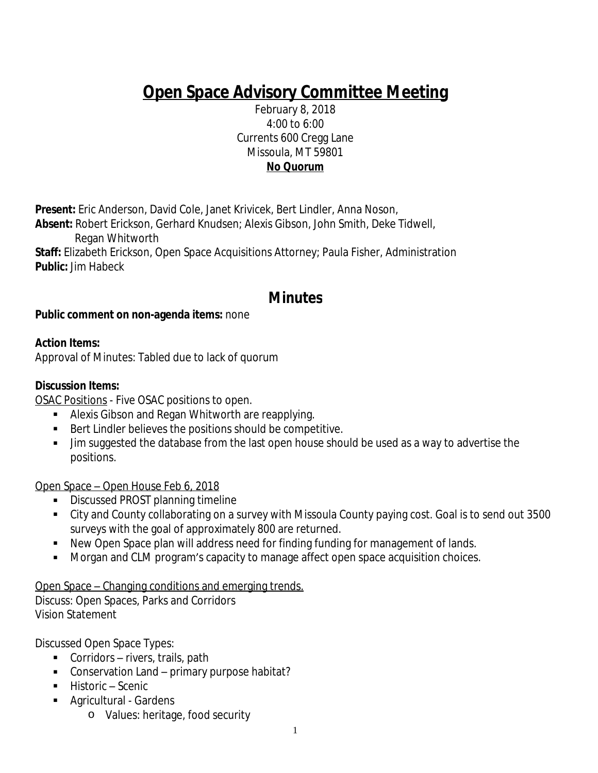# **Open Space Advisory Committee Meeting**

February 8, 2018 4:00 to 6:00 Currents 600 Cregg Lane Missoula, MT 59801 **No Quorum**

**Present:** Eric Anderson, David Cole, Janet Krivicek, Bert Lindler, Anna Noson,

**Absent:** Robert Erickson, Gerhard Knudsen; Alexis Gibson, John Smith, Deke Tidwell, Regan Whitworth

**Staff:** Elizabeth Erickson, Open Space Acquisitions Attorney; Paula Fisher, Administration **Public:** Jim Habeck

# **Minutes**

## **Public comment on non-agenda items:** none

## **Action Items:**

Approval of Minutes: Tabled due to lack of quorum

#### **Discussion Items:**

OSAC Positions - Five OSAC positions to open.

- Alexis Gibson and Regan Whitworth are reapplying.
- Bert Lindler believes the positions should be competitive.
- Jim suggested the database from the last open house should be used as a way to advertise the positions.

Open Space – Open House Feb 6, 2018

- **Discussed PROST planning timeline**
- City and County collaborating on a survey with Missoula County paying cost. Goal is to send out 3500 surveys with the goal of approximately 800 are returned.
- New Open Space plan will address need for finding funding for management of lands.
- Morgan and CLM program's capacity to manage affect open space acquisition choices.

Open Space – Changing conditions and emerging trends.

Discuss: Open Spaces, Parks and Corridors Vision Statement

Discussed Open Space Types:

- Corridors rivers, trails, path
- Conservation Land primary purpose habitat?
- Historic Scenic
- **Agricultural Gardens** 
	- o Values: heritage, food security